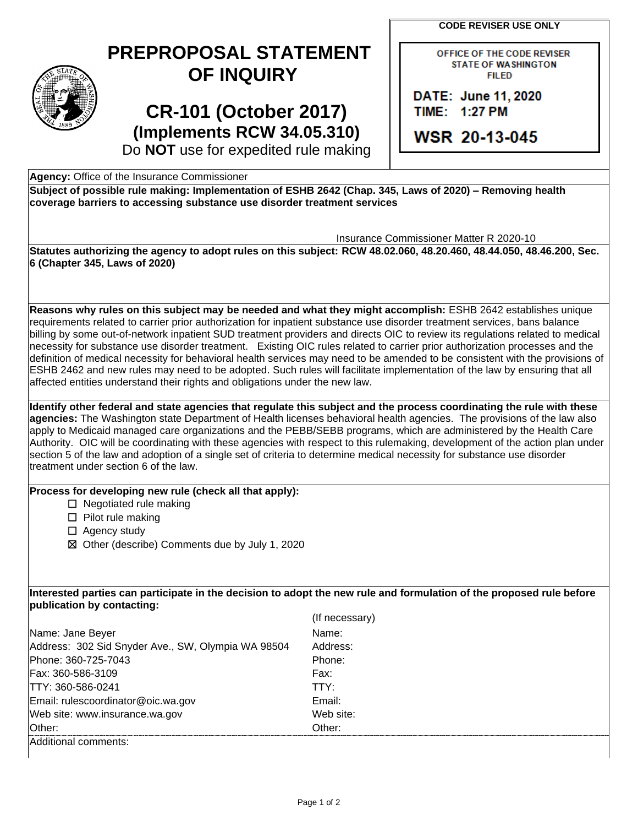**CODE REVISER USE ONLY** 

## **PREPROPOSAL STATEMENT OF INQUIRY**

## **CR-101 (October 2017) (Implements RCW 34.05.310)**

OFFICE OF THE CODE REVISER **STATE OF WASHINGTON FILED** 

DATE: June 11, 2020 TIME: 1:27 PM

**WSR 20-13-045** 

Do **NOT** use for expedited rule making

**Agency:** Office of the Insurance Commissioner

 **Subject of possible rule making: Implementation of ESHB 2642 (Chap. 345, Laws of 2020) – Removing health coverage barriers to accessing substance use disorder treatment services** 

Insurance Commissioner Matter R 2020-10

**Statutes authorizing the agency to adopt rules on this subject: RCW 48.02.060, 48.20.460, 48.44.050, 48.46.200, Sec. 6 (Chapter 345, Laws of 2020)** 

 necessity for substance use disorder treatment. Existing OIC rules related to carrier prior authorization processes and the definition of medical necessity for behavioral health services may need to be amended to be consistent with the provisions of ESHB 2462 and new rules may need to be adopted. Such rules will facilitate implementation of the law by ensuring that all **Reasons why rules on this subject may be needed and what they might accomplish:** ESHB 2642 establishes unique requirements related to carrier prior authorization for inpatient substance use disorder treatment services, bans balance billing by some out-of-network inpatient SUD treatment providers and directs OIC to review its regulations related to medical affected entities understand their rights and obligations under the new law.

 Authority. OIC will be coordinating with these agencies with respect to this rulemaking, development of the action plan under section 5 of the law and adoption of a single set of criteria to determine medical necessity for substance use disorder **Identify other federal and state agencies that regulate this subject and the process coordinating the rule with these agencies:** The Washington state Department of Health licenses behavioral health agencies. The provisions of the law also apply to Medicaid managed care organizations and the PEBB/SEBB programs, which are administered by the Health Care treatment under section 6 of the law.

**Process for developing new rule (check all that apply):** 

- $\Box$  Negotiated rule making
- ☐ Pilot rule making
- □ Agency study
- ☒ Other (describe) Comments due by July 1, 2020

**Interested parties can participate in the decision to adopt the new rule and formulation of the proposed rule before publication by contacting:** 

|                                                    | (If necessary) |
|----------------------------------------------------|----------------|
| Name: Jane Beyer                                   | Name:          |
| Address: 302 Sid Snyder Ave., SW, Olympia WA 98504 | Address:       |
| Phone: 360-725-7043                                | Phone:         |
| Fax: 360-586-3109                                  | Fax:           |
| TTY: 360-586-0241                                  | TTY:           |
| Email: rulescoordinator@oic.wa.gov                 | Email:         |
| Web site: www.insurance.wa.gov                     | Web site:      |
| Other:                                             | Other:         |
| Additional comments:                               |                |